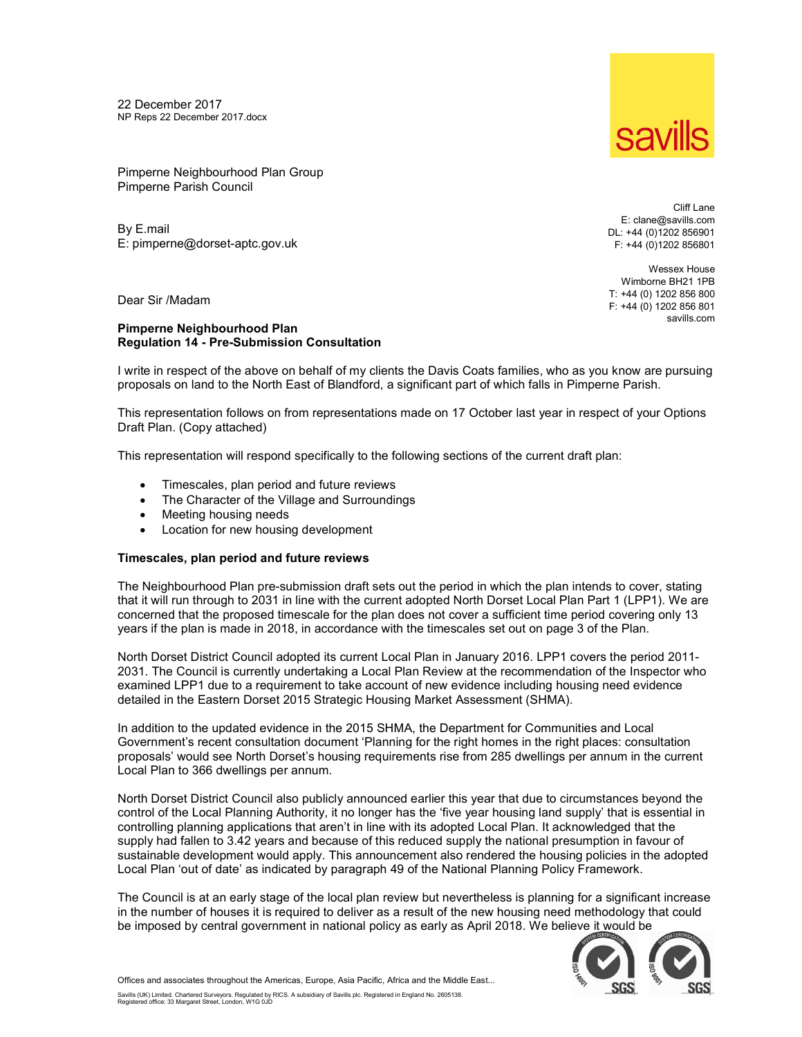22 December 2017 NP Reps 22 December 2017.docx



Pimperne Neighbourhood Plan Group Pimperne Parish Council

By E.mail E: pimperne@dorset-aptc.gov.uk

Cliff Lane E: clane@savills.com DL: +44 (0)1202 856901 F: +44 (0)1202 856801

Wessex House Wimborne BH21 1PB T: +44 (0) 1202 856 800 F: +44 (0) 1202 856 801 savills.com

Dear Sir /Madam

# Pimperne Neighbourhood Plan Regulation 14 - Pre-Submission Consultation

I write in respect of the above on behalf of my clients the Davis Coats families, who as you know are pursuing proposals on land to the North East of Blandford, a significant part of which falls in Pimperne Parish.

This representation follows on from representations made on 17 October last year in respect of your Options Draft Plan. (Copy attached)

This representation will respond specifically to the following sections of the current draft plan:

- Timescales, plan period and future reviews
- The Character of the Village and Surroundings
- Meeting housing needs
- Location for new housing development

# Timescales, plan period and future reviews

The Neighbourhood Plan pre-submission draft sets out the period in which the plan intends to cover, stating that it will run through to 2031 in line with the current adopted North Dorset Local Plan Part 1 (LPP1). We are concerned that the proposed timescale for the plan does not cover a sufficient time period covering only 13 years if the plan is made in 2018, in accordance with the timescales set out on page 3 of the Plan.

North Dorset District Council adopted its current Local Plan in January 2016. LPP1 covers the period 2011- 2031. The Council is currently undertaking a Local Plan Review at the recommendation of the Inspector who examined LPP1 due to a requirement to take account of new evidence including housing need evidence detailed in the Eastern Dorset 2015 Strategic Housing Market Assessment (SHMA).

In addition to the updated evidence in the 2015 SHMA, the Department for Communities and Local Government's recent consultation document 'Planning for the right homes in the right places: consultation proposals' would see North Dorset's housing requirements rise from 285 dwellings per annum in the current Local Plan to 366 dwellings per annum.

North Dorset District Council also publicly announced earlier this year that due to circumstances beyond the control of the Local Planning Authority, it no longer has the 'five year housing land supply' that is essential in controlling planning applications that aren't in line with its adopted Local Plan. It acknowledged that the supply had fallen to 3.42 years and because of this reduced supply the national presumption in favour of sustainable development would apply. This announcement also rendered the housing policies in the adopted Local Plan 'out of date' as indicated by paragraph 49 of the National Planning Policy Framework.

The Council is at an early stage of the local plan review but nevertheless is planning for a significant increase in the number of houses it is required to deliver as a result of the new housing need methodology that could be imposed by central government in national policy as early as April 2018. We believe it would be



Offices and associates throughout the Americas, Europe, Asia Pacific, Africa and the Middle East...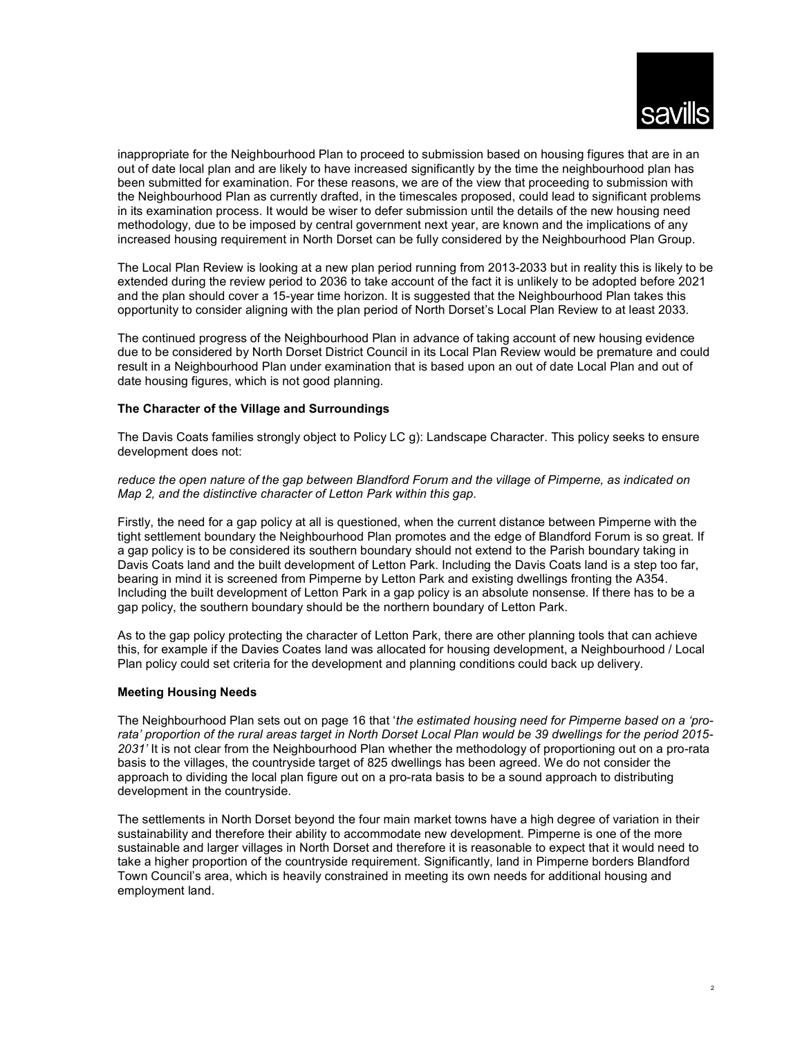

inappropriate for the Neighbourhood Plan to proceed to submission based on housing figures that are in an out of date local plan and are likely to have increased significantly by the time the neighbourhood plan has been submitted for examination. For these reasons, we are of the view that proceeding to submission with the Neighbourhood Plan as currently drafted, in the timescales proposed, could lead to significant problems in its examination process. It would be wiser to defer submission until the details of the new housing need methodology, due to be imposed by central government next year, are known and the implications of any increased housing requirement in North Dorset can be fully considered by the Neighbourhood Plan Group.

The Local Plan Review is looking at a new plan period running from 2013-2033 but in reality this is likely to be extended during the review period to 2036 to take account of the fact it is unlikely to be adopted before 2021 and the plan should cover a 15-year time horizon. It is suggested that the Neighbourhood Plan takes this opportunity to consider aligning with the plan period of North Dorset's Local Plan Review to at least 2033.

The continued progress of the Neighbourhood Plan in advance of taking account of new housing evidence due to be considered by North Dorset District Council in its Local Plan Review would be premature and could result in a Neighbourhood Plan under examination that is based upon an out of date Local Plan and out of date housing figures, which is not good planning.

# The Character of the Village and Surroundings

The Davis Coats families strongly object to Policy LC g): Landscape Character. This policy seeks to ensure development does not:

reduce the open nature of the gap between Blandford Forum and the village of Pimperne, as indicated on Map 2, and the distinctive character of Letton Park within this gap.

Firstly, the need for a gap policy at all is questioned, when the current distance between Pimperne with the tight settlement boundary the Neighbourhood Plan promotes and the edge of Blandford Forum is so great. If a gap policy is to be considered its southern boundary should not extend to the Parish boundary taking in Davis Coats land and the built development of Letton Park. Including the Davis Coats land is a step too far, bearing in mind it is screened from Pimperne by Letton Park and existing dwellings fronting the A354. Including the built development of Letton Park in a gap policy is an absolute nonsense. If there has to be a gap policy, the southern boundary should be the northern boundary of Letton Park.

As to the gap policy protecting the character of Letton Park, there are other planning tools that can achieve this, for example if the Davies Coates land was allocated for housing development, a Neighbourhood / Local Plan policy could set criteria for the development and planning conditions could back up delivery.

### Meeting Housing Needs

The Neighbourhood Plan sets out on page 16 that 'the estimated housing need for Pimperne based on a 'prorata' proportion of the rural areas target in North Dorset Local Plan would be 39 dwellings for the period 2015- 2031' It is not clear from the Neighbourhood Plan whether the methodology of proportioning out on a pro-rata basis to the villages, the countryside target of 825 dwellings has been agreed. We do not consider the approach to dividing the local plan figure out on a pro-rata basis to be a sound approach to distributing development in the countryside.

The settlements in North Dorset beyond the four main market towns have a high degree of variation in their sustainability and therefore their ability to accommodate new development. Pimperne is one of the more sustainable and larger villages in North Dorset and therefore it is reasonable to expect that it would need to take a higher proportion of the countryside requirement. Significantly, land in Pimperne borders Blandford Town Council's area, which is heavily constrained in meeting its own needs for additional housing and employment land.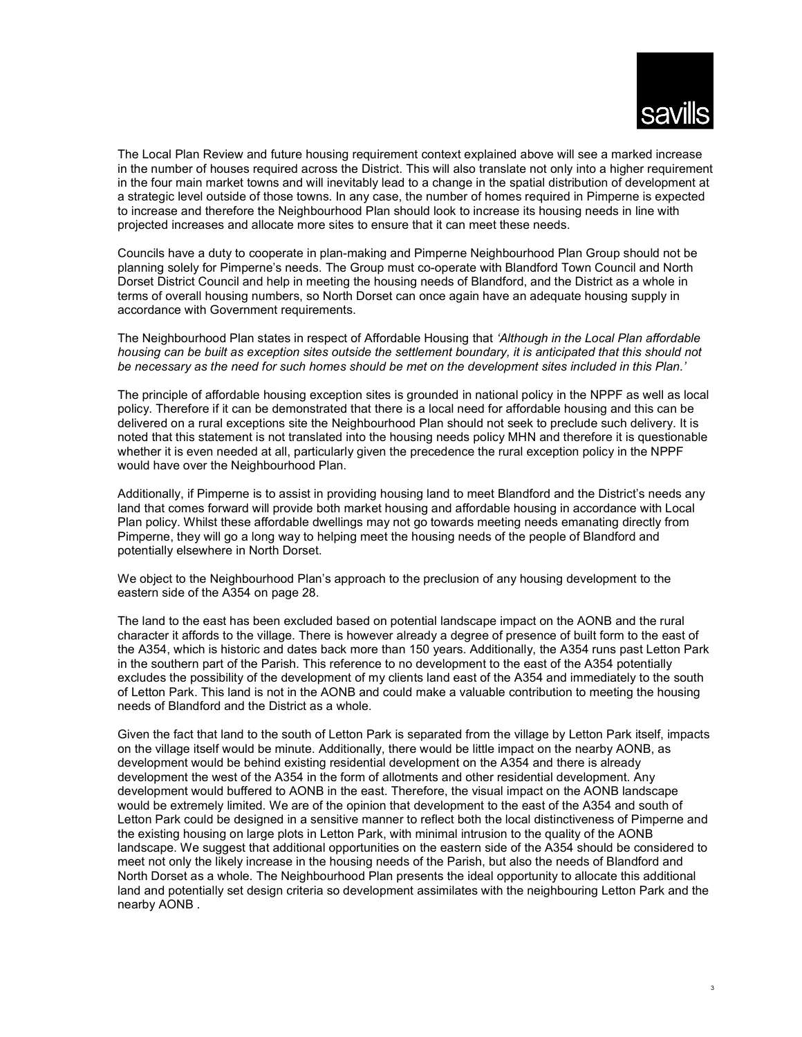

The Local Plan Review and future housing requirement context explained above will see a marked increase in the number of houses required across the District. This will also translate not only into a higher requirement in the four main market towns and will inevitably lead to a change in the spatial distribution of development at a strategic level outside of those towns. In any case, the number of homes required in Pimperne is expected to increase and therefore the Neighbourhood Plan should look to increase its housing needs in line with projected increases and allocate more sites to ensure that it can meet these needs.

Councils have a duty to cooperate in plan-making and Pimperne Neighbourhood Plan Group should not be planning solely for Pimperne's needs. The Group must co-operate with Blandford Town Council and North Dorset District Council and help in meeting the housing needs of Blandford, and the District as a whole in terms of overall housing numbers, so North Dorset can once again have an adequate housing supply in accordance with Government requirements.

The Neighbourhood Plan states in respect of Affordable Housing that 'Although in the Local Plan affordable housing can be built as exception sites outside the settlement boundary, it is anticipated that this should not be necessary as the need for such homes should be met on the development sites included in this Plan.'

The principle of affordable housing exception sites is grounded in national policy in the NPPF as well as local policy. Therefore if it can be demonstrated that there is a local need for affordable housing and this can be delivered on a rural exceptions site the Neighbourhood Plan should not seek to preclude such delivery. It is noted that this statement is not translated into the housing needs policy MHN and therefore it is questionable whether it is even needed at all, particularly given the precedence the rural exception policy in the NPPF would have over the Neighbourhood Plan.

Additionally, if Pimperne is to assist in providing housing land to meet Blandford and the District's needs any land that comes forward will provide both market housing and affordable housing in accordance with Local Plan policy. Whilst these affordable dwellings may not go towards meeting needs emanating directly from Pimperne, they will go a long way to helping meet the housing needs of the people of Blandford and potentially elsewhere in North Dorset.

We object to the Neighbourhood Plan's approach to the preclusion of any housing development to the eastern side of the A354 on page 28.

The land to the east has been excluded based on potential landscape impact on the AONB and the rural character it affords to the village. There is however already a degree of presence of built form to the east of the A354, which is historic and dates back more than 150 years. Additionally, the A354 runs past Letton Park in the southern part of the Parish. This reference to no development to the east of the A354 potentially excludes the possibility of the development of my clients land east of the A354 and immediately to the south of Letton Park. This land is not in the AONB and could make a valuable contribution to meeting the housing needs of Blandford and the District as a whole.

Given the fact that land to the south of Letton Park is separated from the village by Letton Park itself, impacts on the village itself would be minute. Additionally, there would be little impact on the nearby AONB, as development would be behind existing residential development on the A354 and there is already development the west of the A354 in the form of allotments and other residential development. Any development would buffered to AONB in the east. Therefore, the visual impact on the AONB landscape would be extremely limited. We are of the opinion that development to the east of the A354 and south of Letton Park could be designed in a sensitive manner to reflect both the local distinctiveness of Pimperne and the existing housing on large plots in Letton Park, with minimal intrusion to the quality of the AONB landscape. We suggest that additional opportunities on the eastern side of the A354 should be considered to meet not only the likely increase in the housing needs of the Parish, but also the needs of Blandford and North Dorset as a whole. The Neighbourhood Plan presents the ideal opportunity to allocate this additional land and potentially set design criteria so development assimilates with the neighbouring Letton Park and the nearby AONB .